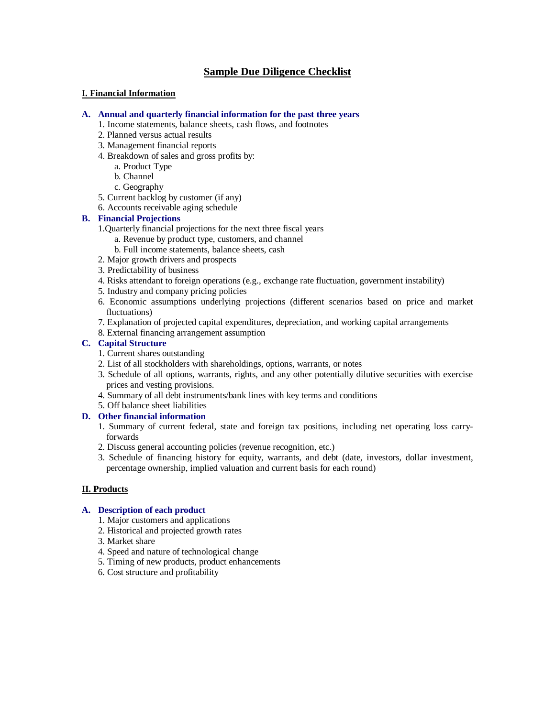# **Sample Due Diligence Checklist**

## **I. Financial Information**

#### **A. Annual and quarterly financial information for the past three years**

- 1. Income statements, balance sheets, cash flows, and footnotes
- 2. Planned versus actual results
- 3. Management financial reports
- 4. Breakdown of sales and gross profits by:
	- a. Product Type
	- b. Channel
	- c. Geography
- 5. Current backlog by customer (if any)
- 6. Accounts receivable aging schedule

## **B. Financial Projections**

1.Quarterly financial projections for the next three fiscal years

- a. Revenue by product type, customers, and channel
- b. Full income statements, balance sheets, cash
- 2. Major growth drivers and prospects
- 3. Predictability of business
- 4. Risks attendant to foreign operations (e.g., exchange rate fluctuation, government instability)
- 5. Industry and company pricing policies
- 6. Economic assumptions underlying projections (different scenarios based on price and market fluctuations)
- 7. Explanation of projected capital expenditures, depreciation, and working capital arrangements
- 8. External financing arrangement assumption

# **C. Capital Structure**

- 1. Current shares outstanding
- 2. List of all stockholders with shareholdings, options, warrants, or notes
- 3. Schedule of all options, warrants, rights, and any other potentially dilutive securities with exercise prices and vesting provisions.
- 4. Summary of all debt instruments/bank lines with key terms and conditions
- 5. Off balance sheet liabilities

# **D. Other financial information**

- 1. Summary of current federal, state and foreign tax positions, including net operating loss carryforwards
- 2. Discuss general accounting policies (revenue recognition, etc.)
- 3. Schedule of financing history for equity, warrants, and debt (date, investors, dollar investment, percentage ownership, implied valuation and current basis for each round)

# **II. Products**

#### **A. Description of each product**

- 1. Major customers and applications
- 2. Historical and projected growth rates
- 3. Market share
- 4. Speed and nature of technological change
- 5. Timing of new products, product enhancements
- 6. Cost structure and profitability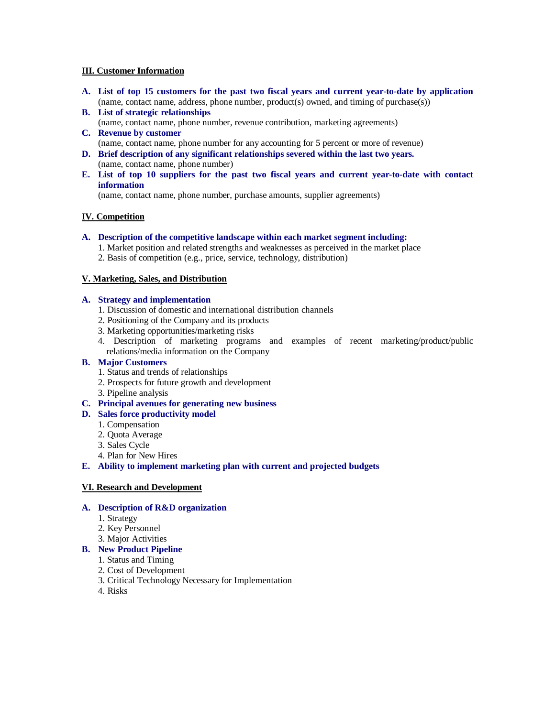#### **III. Customer Information**

- **A. List of top 15 customers for the past two fiscal years and current year-to-date by application** (name, contact name, address, phone number, product(s) owned, and timing of purchase(s))
- **B. List of strategic relationships**  (name, contact name, phone number, revenue contribution, marketing agreements)
- **C. Revenue by customer** (name, contact name, phone number for any accounting for 5 percent or more of revenue)
- **D. Brief description of any significant relationships severed within the last two years.** (name, contact name, phone number)
- **E. List of top 10 suppliers for the past two fiscal years and current year-to-date with contact information**

(name, contact name, phone number, purchase amounts, supplier agreements)

# **IV. Competition**

- **A. Description of the competitive landscape within each market segment including:**
	- 1. Market position and related strengths and weaknesses as perceived in the market place
	- 2. Basis of competition (e.g., price, service, technology, distribution)

# **V. Marketing, Sales, and Distribution**

#### **A. Strategy and implementation**

- 1. Discussion of domestic and international distribution channels
- 2. Positioning of the Company and its products
- 3. Marketing opportunities/marketing risks
- 4. Description of marketing programs and examples of recent marketing/product/public relations/media information on the Company

## **B. Major Customers**

- 1. Status and trends of relationships
- 2. Prospects for future growth and development
- 3. Pipeline analysis

# **C. Principal avenues for generating new business**

- **D. Sales force productivity model**
	- 1. Compensation
	- 2. Quota Average
	- 3. Sales Cycle
	- 4. Plan for New Hires

# **E. Ability to implement marketing plan with current and projected budgets**

#### **VI. Research and Development**

#### **A. Description of R&D organization**

- 1. Strategy
- 2. Key Personnel
- 3. Major Activities

#### **B. New Product Pipeline**

- 1. Status and Timing
- 2. Cost of Development
- 3. Critical Technology Necessary for Implementation
- 4. Risks